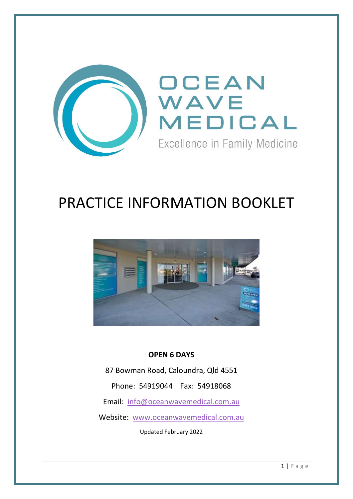

# PRACTICE INFORMATION BOOKLET



# OPEN 6 DAYS

87 Bowman Road, Caloundra, Qld 4551 Phone: 54919044 Fax: 54918068 Email: info@oceanwavemedical.com.au Website: www.oceanwavemedical.com.au

Updated February 2022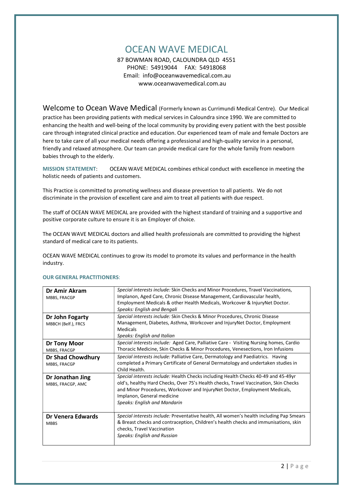# OCEAN WAVE MEDICAL

87 BOWMAN ROAD, CALOUNDRA QLD 4551 PHONE: 54919044 FAX: 54918068 Email: info@oceanwavemedical.com.au www.oceanwavemedical.com.au

Welcome to Ocean Wave Medical (Formerly known as Currimundi Medical Centre). Our Medical

practice has been providing patients with medical services in Caloundra since 1990. We are committed to enhancing the health and well-being of the local community by providing every patient with the best possible care through integrated clinical practice and education. Our experienced team of male and female Doctors are here to take care of all your medical needs offering a professional and high-quality service in a personal, friendly and relaxed atmosphere. Our team can provide medical care for the whole family from newborn babies through to the elderly.

MISSION STATEMENT: OCEAN WAVE MEDICAL combines ethical conduct with excellence in meeting the holistic needs of patients and customers.

This Practice is committed to promoting wellness and disease prevention to all patients. We do not discriminate in the provision of excellent care and aim to treat all patients with due respect.

The staff of OCEAN WAVE MEDICAL are provided with the highest standard of training and a supportive and positive corporate culture to ensure it is an Employer of choice.

The OCEAN WAVE MEDICAL doctors and allied health professionals are committed to providing the highest standard of medical care to its patients.

OCEAN WAVE MEDICAL continues to grow its model to promote its values and performance in the health industry.

| Dr Amir Akram<br>MBBS, FRACGP            | Special interests include: Skin Checks and Minor Procedures, Travel Vaccinations,<br>Implanon, Aged Care, Chronic Disease Management, Cardiovascular health,<br>Employment Medicals & other Health Medicals, Workcover & InjuryNet Doctor.<br>Speaks: English and Bengali                                                     |
|------------------------------------------|-------------------------------------------------------------------------------------------------------------------------------------------------------------------------------------------------------------------------------------------------------------------------------------------------------------------------------|
| Dr John Fogarty<br>MBBCH (Belf.), FRCS   | Special interests include: Skin Checks & Minor Procedures, Chronic Disease<br>Management, Diabetes, Asthma, Workcover and InjuryNet Doctor, Employment<br><b>Medicals</b><br>Speaks: English and Italian                                                                                                                      |
| <b>Dr Tony Moor</b><br>MBBS, FRACGP      | Special interests include: Aged Care, Palliative Care - Visiting Nursing homes, Cardio<br>Thoracic Medicine, Skin Checks & Minor Procedures, Venesections, Iron Infusions                                                                                                                                                     |
| <b>Dr Shad Chowdhury</b><br>MBBS, FRACGP | Special interests include: Palliative Care, Dermatology and Paediatrics. Having<br>completed a Primary Certificate of General Dermatology and undertaken studies in<br>Child Health.                                                                                                                                          |
| Dr Jonathan Jing<br>MBBS, FRACGP, AMC    | Special interests include: Health Checks including Health Checks 40-49 and 45-49yr<br>old's, healthy Hard Checks, Over 75's Health checks, Travel Vaccination, Skin Checks<br>and Minor Procedures, Workcover and InjuryNet Doctor, Employment Medicals,<br>Implanon, General medicine<br><b>Speaks: English and Mandarin</b> |
| Dr Venera Edwards<br><b>MBBS</b>         | Special interests include: Preventative health, All women's health including Pap Smears<br>& Breast checks and contraception, Children's health checks and immunisations, skin<br>checks, Travel Vaccination<br><b>Speaks: English and Russian</b>                                                                            |

#### OUR GENERAL PRACTITIONERS: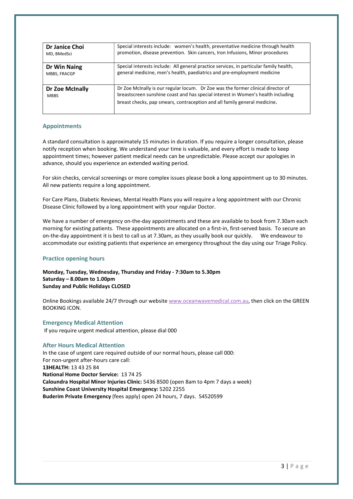| Dr Janice Choi                 | Special interests include: women's health, preventative medicine through health                                                                                                                                                                   |
|--------------------------------|---------------------------------------------------------------------------------------------------------------------------------------------------------------------------------------------------------------------------------------------------|
| MD, BMedSci                    | promotion, disease prevention. Skin cancers, Iron Infusions, Minor procedures                                                                                                                                                                     |
| Dr Win Naing                   | Special interests include: All general practice services, in particular family health,                                                                                                                                                            |
| MBBS, FRACGP                   | general medicine, men's health, paediatrics and pre-employment medicine                                                                                                                                                                           |
| Dr Zoe McInally<br><b>MBBS</b> | Dr Zoe McInally is our regular locum. Dr Zoe was the former clinical director of<br>breastscreen sunshine coast and has special interest in Women's health including<br>breast checks, pap smears, contraception and all family general medicine. |

# Appointments

A standard consultation is approximately 15 minutes in duration. If you require a longer consultation, please notify reception when booking. We understand your time is valuable, and every effort is made to keep appointment times; however patient medical needs can be unpredictable. Please accept our apologies in advance, should you experience an extended waiting period.

For skin checks, cervical screenings or more complex issues please book a long appointment up to 30 minutes. All new patients require a long appointment.

For Care Plans, Diabetic Reviews, Mental Health Plans you will require a long appointment with our Chronic Disease Clinic followed by a long appointment with your regular Doctor.

We have a number of emergency on-the-day appointments and these are available to book from 7.30am each morning for existing patients. These appointments are allocated on a first-in, first-served basis. To secure an on-the-day appointment it is best to call us at 7.30am, as they usually book our quickly. We endeavour to accommodate our existing patients that experience an emergency throughout the day using our Triage Policy.

## Practice opening hours

Monday, Tuesday, Wednesday, Thursday and Friday - 7:30am to 5.30pm Saturday – 8.00am to 1.00pm Sunday and Public Holidays CLOSED

Online Bookings available 24/7 through our website www.oceanwavemedical.com.au, then click on the GREEN BOOKING ICON.

Emergency Medical Attention If you require urgent medical attention, please dial 000

## After Hours Medical Attention

In the case of urgent care required outside of our normal hours, please call 000: For non-urgent after-hours care call: 13HEALTH: 13 43 25 84 National Home Doctor Service: 13 74 25 Caloundra Hospital Minor Injuries Clinic: 5436 8500 (open 8am to 4pm 7 days a week) Sunshine Coast University Hospital Emergency: 5202 2255 Buderim Private Emergency (fees apply) open 24 hours, 7 days. 54520599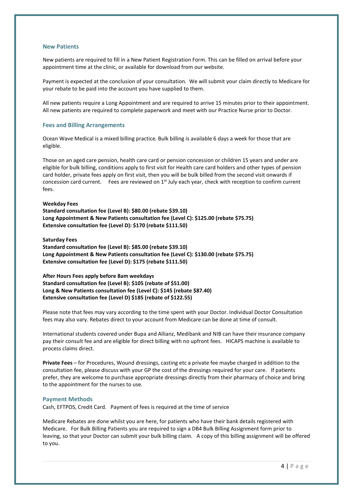#### New Patients

New patients are required to fill in a New Patient Registration Form. This can be filled on arrival before your appointment time at the clinic, or available for download from our website.

Payment is expected at the conclusion of your consultation. We will submit your claim directly to Medicare for your rebate to be paid into the account you have supplied to them.

All new patients require a Long Appointment and are required to arrive 15 minutes prior to their appointment. All new patients are required to complete paperwork and meet with our Practice Nurse prior to Doctor.

#### Fees and Billing Arrangements

Ocean Wave Medical is a mixed billing practice. Bulk billing is available 6 days a week for those that are eligible.

Those on an aged care pension, health care card or pension concession or children 15 years and under are eligible for bulk billing, conditions apply to first visit for Health care card holders and other types of pension card holder, private fees apply on first visit, then you will be bulk billed from the second visit onwards if concession card current. Fees are reviewed on  $1<sup>st</sup>$  July each year, check with reception to confirm current fees.

#### Weekday Fees

Standard consultation fee (Level B): \$80.00 (rebate \$39.10) Long Appointment & New Patients consultation fee (Level C): \$125.00 (rebate \$75.75) Extensive consultation fee (Level D): \$170 (rebate \$111.50)

#### Saturday Fees

Standard consultation fee (Level B): \$85.00 (rebate \$39.10) Long Appointment & New Patients consultation fee (Level C): \$130.00 (rebate \$75.75) Extensive consultation fee (Level D): \$175 (rebate \$111.50)

#### After Hours Fees apply before 8am weekdays

Standard consultation fee (Level B): \$105 (rebate of \$51.00) Long & New Patients consultation fee (Level C): \$145 (rebate \$87.40) Extensive consultation fee (Level D) \$185 (rebate of \$122.55)

Please note that fees may vary according to the time spent with your Doctor. Individual Doctor Consultation fees may also vary. Rebates direct to your account from Medicare can be done at time of consult.

International students covered under Bupa and Allianz, Medibank and NIB can have their insurance company pay their consult fee and are eligible for direct billing with no upfront fees. HICAPS machine is available to process claims direct.

Private Fees – for Procedures, Wound dressings, casting etc a private fee maybe charged in addition to the consultation fee, please discuss with your GP the cost of the dressings required for your care. If patients prefer, they are welcome to purchase appropriate dressings directly from their pharmacy of choice and bring to the appointment for the nurses to use.

#### Payment Methods

Cash, EFTPOS, Credit Card. Payment of fees is required at the time of service

Medicare Rebates are done whilst you are here, for patients who have their bank details registered with Medicare. For Bulk Billing Patients you are required to sign a DB4 Bulk Billing Assignment form prior to leaving, so that your Doctor can submit your bulk billing claim. A copy of this billing assignment will be offered to you.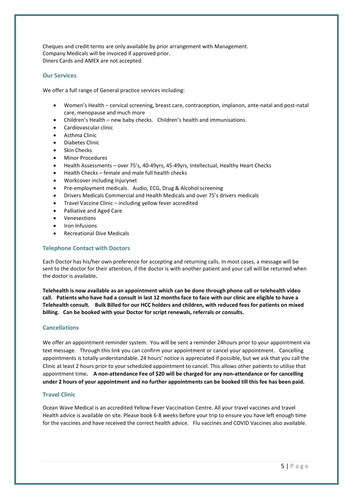Cheques and credit terms are only available by prior arrangement with Management. Company Medicals will be invoiced if approved prior. Diners Cards and AMEX are not accepted.

# Our Services

We offer a full range of General practice services including:

- Women's Health cervical screening, breast care, contraception, implanon, ante-natal and post-natal care, menopause and much more
- Children's Health new baby checks. Children's health and immunisations.
- Cardiovascular clinic
- Asthma Clinic
- Diabetes Clinic
- Skin Checks
- Minor Procedures
- Health Assessments over 75's, 40-49yrs, 45-49yrs, Intellectual, Healthy Heart Checks
- Health Checks female and male full health checks
- Workcover including Injurynet
- Pre-employment medicals. Audio, ECG, Drug & Alcohol screening
- Drivers Medicals Commercial and Health Medicals and over 75's drivers medicals
- Travel Vaccine Clinic including yellow fever accredited
- Palliative and Aged Care
- Venesections
- Iron Infusions
- Recreational Dive Medicals

#### Telephone Contact with Doctors

Each Doctor has his/her own preference for accepting and returning calls. In most cases, a message will be sent to the doctor for their attention, if the doctor is with another patient and your call will be returned when the doctor is available.

Telehealth is now available as an appointment which can be done through phone call or telehealth video call. Patients who have had a consult in last 12 months face to face with our clinic are eligible to have a Telehealth consult. Bulk Billed for our HCC holders and children, with reduced fees for patients on mixed billing. Can be booked with your Doctor for script renewals, referrals or consults.

## Cancellations

We offer an appointment reminder system. You will be sent a reminder 24hours prior to your appointment via text message. Through this link you can confirm your appointment or cancel your appointment. Cancelling appointments is totally understandable. 24 hours' notice is appreciated if possible, but we ask that you call the Clinic at least 2 hours prior to your scheduled appointment to cancel. This allows other patients to utilise that appointment time. A non-attendance Fee of \$20 will be charged for any non-attendance or for cancelling under 2 hours of your appointment and no further appointments can be booked till this fee has been paid.

#### Travel Clinic

Ocean Wave Medical is an accredited Yellow Fever Vaccination Centre. All your travel vaccines and travel Health advice is available on site. Please book 6-8 weeks before your trip to ensure you have left enough time for the vaccines and have received the correct health advice. Flu vaccines and COVID Vaccines also available.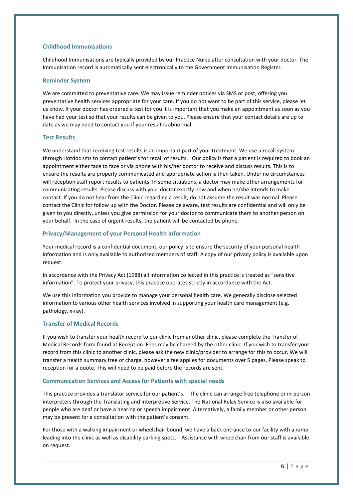# Childhood Immunisations

Childhood Immunisations are typically provided by our Practice Nurse after consultation with your doctor. The Immunisation record is automatically sent electronically to the Government Immunisation Register.

# Reminder System

We are committed to preventative care. We may issue reminder notices via SMS or post, offering you preventative health services appropriate for your care. If you do not want to be part of this service, please let us know. If your doctor has ordered a test for you it is important that you make an appointment as soon as you have had your test so that your results can be given to you. Please ensure that your contact details are up to date as we may need to contact you if your result is abnormal.

# Test Results

We understand that receiving test results is an important part of your treatment. We use a recall system through Hotdoc sms to contact patient's for recall of results. Our policy is that a patient is required to book an appointment either face to face or via phone with his/her doctor to receive and discuss results. This is to ensure the results are properly communicated and appropriate action is then taken. Under no circumstances will reception staff report results to patients. In some situations, a doctor may make other arrangements for communicating results. Please discuss with your doctor exactly how and when he/she intends to make contact. If you do not hear from the Clinic regarding a result, do not assume the result was normal. Please contact the Clinic for follow up with the Doctor. Please be aware, test results are confidential and will only be given to you directly, unless you give permission for your doctor to communicate them to another person on your behalf. In the case of urgent results, the patient will be contacted by phone.

# Privacy/Management of your Personal Health Information

Your medical record is a confidential document, our policy is to ensure the security of your personal health information and is only available to authorised members of staff. A copy of our privacy policy is available upon request.

In accordance with the Privacy Act (1988) all information collected in this practice is treated as "sensitive information". To protect your privacy, this practice operates strictly in accordance with the Act.

We use this information you provide to manage your personal health care. We generally disclose selected information to various other health services involved in supporting your health care management (e.g. pathology, x-ray).

## Transfer of Medical Records

If you wish to transfer your health record to our clinic from another clinic, please complete the Transfer of Medical Records form found at Reception. Fees may be charged by the other clinic. If you wish to transfer your record from this clinic to another clinic, please ask the new clinic/provider to arrange for this to occur. We will transfer a health summary free of charge, however a fee applies for documents over 5 pages. Please speak to reception for a quote. This will need to be paid before the records are sent.

## Communication Services and Access for Patients with special needs

This practice provides a translator service for our patient's. The clinic can arrange free telephone or in-person interpreters through the Translating and Interpretive Service. The National Relay Service is also available for people who are deaf or have a hearing or speech impairment. Alternatively, a family member or other person may be present for a consultation with the patient's consent.

For those with a walking impairment or wheelchair bound, we have a back entrance to our facility with a ramp leading into the clinic as well as disability parking spots. Assistance with wheelchair from our staff is available on request.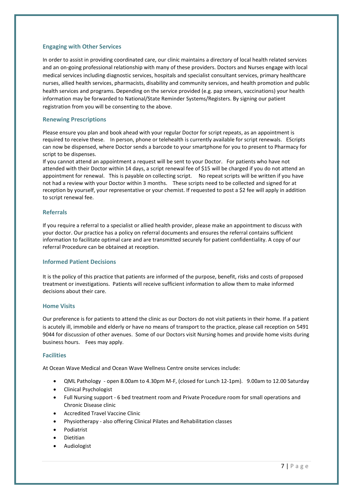# Engaging with Other Services

In order to assist in providing coordinated care, our clinic maintains a directory of local health related services and an on-going professional relationship with many of these providers. Doctors and Nurses engage with local medical services including diagnostic services, hospitals and specialist consultant services, primary healthcare nurses, allied health services, pharmacists, disability and community services, and health promotion and public health services and programs. Depending on the service provided (e.g. pap smears, vaccinations) your health information may be forwarded to National/State Reminder Systems/Registers. By signing our patient registration from you will be consenting to the above.

# Renewing Prescriptions

Please ensure you plan and book ahead with your regular Doctor for script repeats, as an appointment is required to receive these. In person, phone or telehealth is currently available for script renewals. EScripts can now be dispensed, where Doctor sends a barcode to your smartphone for you to present to Pharmacy for script to be dispenses.

If you cannot attend an appointment a request will be sent to your Doctor. For patients who have not attended with their Doctor within 14 days, a script renewal fee of \$15 will be charged if you do not attend an appointment for renewal. This is payable on collecting script. No repeat scripts will be written if you have not had a review with your Doctor within 3 months. These scripts need to be collected and signed for at reception by yourself, your representative or your chemist. If requested to post a \$2 fee will apply in addition to script renewal fee.

## Referrals

If you require a referral to a specialist or allied health provider, please make an appointment to discuss with your doctor. Our practice has a policy on referral documents and ensures the referral contains sufficient information to facilitate optimal care and are transmitted securely for patient confidentiality. A copy of our referral Procedure can be obtained at reception.

## Informed Patient Decisions

It is the policy of this practice that patients are informed of the purpose, benefit, risks and costs of proposed treatment or investigations. Patients will receive sufficient information to allow them to make informed decisions about their care.

## Home Visits

Our preference is for patients to attend the clinic as our Doctors do not visit patients in their home. If a patient is acutely ill, immobile and elderly or have no means of transport to the practice, please call reception on 5491 9044 for discussion of other avenues. Some of our Doctors visit Nursing homes and provide home visits during business hours. Fees may apply.

## Facilities

At Ocean Wave Medical and Ocean Wave Wellness Centre onsite services include:

- QML Pathology open 8.00am to 4.30pm M-F, (closed for Lunch 12-1pm). 9.00am to 12.00 Saturday
- Clinical Psychologist
- Full Nursing support 6 bed treatment room and Private Procedure room for small operations and Chronic Disease clinic
- Accredited Travel Vaccine Clinic
- Physiotherapy also offering Clinical Pilates and Rehabilitation classes
- Podiatrist
- Dietitian
- Audiologist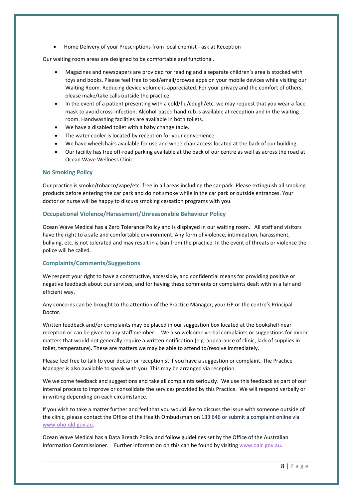Home Delivery of your Prescriptions from local chemist - ask at Reception

Our waiting room areas are designed to be comfortable and functional.

- Magazines and newspapers are provided for reading and a separate children's area is stocked with toys and books. Please feel free to text/email/browse apps on your mobile devices while visiting our Waiting Room. Reducing device volume is appreciated. For your privacy and the comfort of others, please make/take calls outside the practice.
- In the event of a patient presenting with a cold/flu/cough/etc. we may request that you wear a face mask to avoid cross-infection. Alcohol-based hand rub is available at reception and in the waiting room. Handwashing facilities are available in both toilets.
- We have a disabled toilet with a baby change table.
- The water cooler is located by reception for your convenience.
- We have wheelchairs available for use and wheelchair access located at the back of our building.
- Our facility has free off-road parking available at the back of our centre as well as across the road at Ocean Wave Wellness Clinic.

#### No Smoking Policy

Our practice is smoke/tobacco/vape/etc. free in all areas including the car park. Please extinguish all smoking products before entering the car park and do not smoke while in the car park or outside entrances. Your doctor or nurse will be happy to discuss smoking cessation programs with you.

#### Occupational Violence/Harassment/Unreasonable Behaviour Policy

Ocean Wave Medical has a Zero Tolerance Policy and is displayed in our waiting room. All staff and visitors have the right to a safe and comfortable environment. Any form of violence, intimidation, harassment, bullying, etc. is not tolerated and may result in a ban from the practice. In the event of threats or violence the police will be called.

#### Complaints/Comments/Suggestions

We respect your right to have a constructive, accessible, and confidential means for providing positive or negative feedback about our services, and for having these comments or complaints dealt with in a fair and efficient way.

Any concerns can be brought to the attention of the Practice Manager, your GP or the centre's Principal Doctor.

Written feedback and/or complaints may be placed in our suggestion box located at the bookshelf near reception or can be given to any staff member. We also welcome verbal complaints or suggestions for minor matters that would not generally require a written notification (e.g. appearance of clinic, lack of supplies in toilet, temperature). These are matters we may be able to attend to/resolve immediately.

Please feel free to talk to your doctor or receptionist if you have a suggestion or complaint. The Practice Manager is also available to speak with you. This may be arranged via reception.

We welcome feedback and suggestions and take all complaints seriously. We use this feedback as part of our internal process to improve or consolidate the services provided by this Practice. We will respond verbally or in writing depending on each circumstance.

If you wish to take a matter further and feel that you would like to discuss the issue with someone outside of the clinic, please contact the Office of the Health Ombudsman on 133 646 or submit a complaint online via www.oho.qld.gov.au.

Ocean Wave Medical has a Data Breach Policy and follow guidelines set by the Office of the Australian Information Commissioner. Further information on this can be found by visiting www.oaic.gov.au.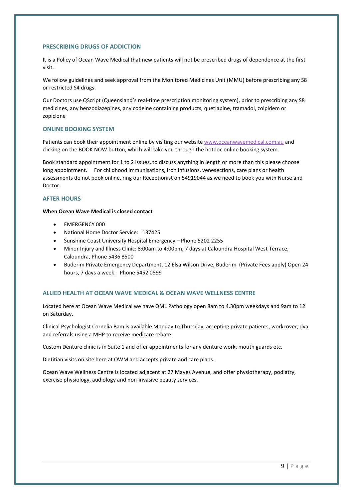#### PRESCRIBING DRUGS OF ADDICTION

It is a Policy of Ocean Wave Medical that new patients will not be prescribed drugs of dependence at the first visit.

We follow guidelines and seek approval from the Monitored Medicines Unit (MMU) before prescribing any S8 or restricted S4 drugs.

Our Doctors use QScript (Queensland's real-time prescription monitoring system), prior to prescribing any S8 medicines, any benzodiazepines, any codeine containing products, quetiapine, tramadol, zolpidem or zopiclone

#### ONLINE BOOKING SYSTEM

Patients can book their appointment online by visiting our website www.oceanwavemedical.com.au and clicking on the BOOK NOW button, which will take you through the hotdoc online booking system.

Book standard appointment for 1 to 2 issues, to discuss anything in length or more than this please choose long appointment. For childhood immunisations, iron infusions, venesections, care plans or health assessments do not book online, ring our Receptionist on 54919044 as we need to book you with Nurse and Doctor.

# AFTER HOURS

#### When Ocean Wave Medical is closed contact

- EMERGENCY 000
- National Home Doctor Service: 137425
- Sunshine Coast University Hospital Emergency Phone 5202 2255
- Minor Injury and Illness Clinic: 8:00am to 4:00pm, 7 days at Caloundra Hospital West Terrace, Caloundra, Phone 5436 8500
- Buderim Private Emergency Department, 12 Elsa Wilson Drive, Buderim (Private Fees apply) Open 24 hours, 7 days a week. Phone 5452 0599

## ALLIED HEALTH AT OCEAN WAVE MEDICAL & OCEAN WAVE WELLNESS CENTRE

Located here at Ocean Wave Medical we have QML Pathology open 8am to 4.30pm weekdays and 9am to 12 on Saturday.

Clinical Psychologist Cornelia Bam is available Monday to Thursday, accepting private patients, workcover, dva and referrals using a MHP to receive medicare rebate.

Custom Denture clinic is in Suite 1 and offer appointments for any denture work, mouth guards etc.

Dietitian visits on site here at OWM and accepts private and care plans.

Ocean Wave Wellness Centre is located adjacent at 27 Mayes Avenue, and offer physiotherapy, podiatry, exercise physiology, audiology and non-invasive beauty services.